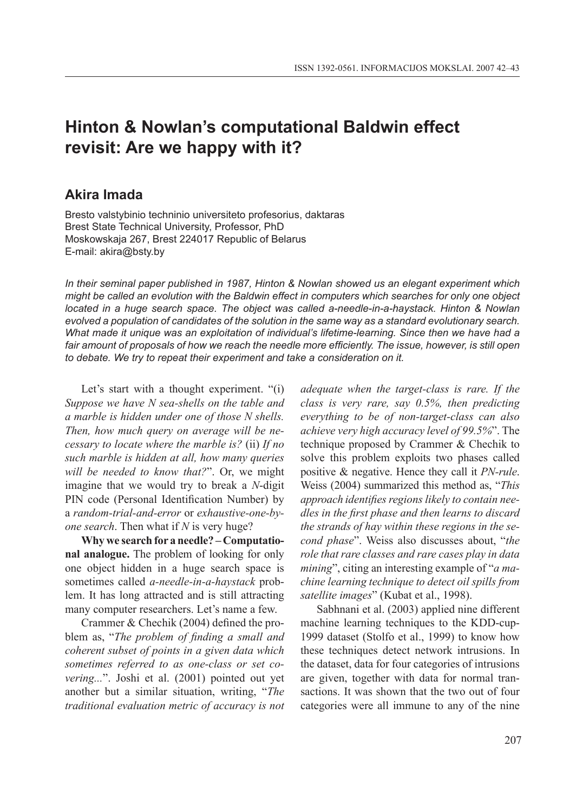# **Hinton & Nowlan's computational Baldwin effect revisit: Are we happy with it?**

# **Akira Imada**

Bresto valstybinio techninio universiteto profesorius, daktaras Brest State Technical University, Professor, PhD Moskowskaja 267, Brest 224017 Republic of Belarus E-mail: akira@bsty.by

*In their seminal paper published in 1987, Hinton & Nowlan showed us an elegant experiment which might be called an evolution with the Baldwin effect in computers which searches for only one object located in a huge search space. The object was called a-needle-in-a-haystack. Hinton & Nowlan evolved a population of candidates of the solution in the same way as a standard evolutionary search. What made it unique was an exploitation of individual's lifetime-learning. Since then we have had a fair amount of proposals of how we reach the needle more efficiently. The issue, however, is still open to debate. We try to repeat their experiment and take a consideration on it.* 

Let's start with a thought experiment. "(i) *Suppose we have N sea-shells on the table and a marble is hidden under one of those N shells. Then, how much query on average will be necessary to locate where the marble is?* (ii) *If no such marble is hidden at all, how many queries will be needed to know that?*". Or, we might imagine that we would try to break a *N*-digit PIN code (Personal Identification Number) by a *random-trial-and-error* or *exhaustive-one-byone search*. Then what if *N* is very huge?

**Why we search for a needle? – Computational analogue.** The problem of looking for only one object hidden in a huge search space is sometimes called *a-needle-in-a-haystack* problem. It has long attracted and is still attracting many computer researchers. Let's name a few.

Crammer & Chechik (2004) defined the problem as, "*The problem of finding a small and coherent subset of points in a given data which sometimes referred to as one-class or set covering...*". Joshi et al. (2001) pointed out yet another but a similar situation, writing, "*The traditional evaluation metric of accuracy is not*  *adequate when the target-class is rare. If the class is very rare, say 0.5%, then predicting everything to be of non-target-class can also achieve very high accuracy level of 99.5%*". The technique proposed by Crammer & Chechik to solve this problem exploits two phases called positive & negative. Hence they call it *PN-rule*. Weiss (2004) summarized this method as, "*This approach identifies regions likely to contain needles in the first phase and then learns to discard the strands of hay within these regions in the second phase*". Weiss also discusses about, "*the role that rare classes and rare cases play in data mining*", citing an interesting example of "*a machine learning technique to detect oil spills from satellite images*" (Kubat et al., 1998).

Sabhnani et al. (2003) applied nine different machine learning techniques to the KDD-cup-1999 dataset (Stolfo et al., 1999) to know how these techniques detect network intrusions. In the dataset, data for four categories of intrusions are given, together with data for normal transactions. It was shown that the two out of four categories were all immune to any of the nine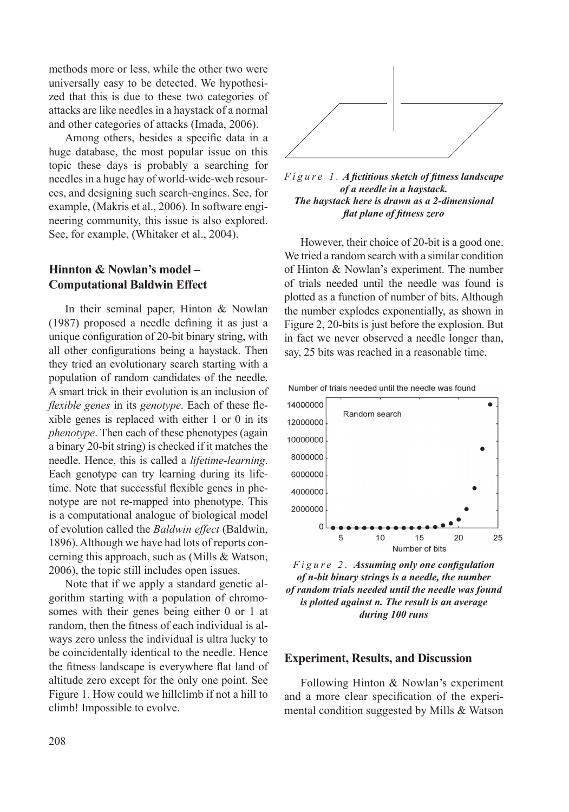methods more or less, while the other two were universally easy to be detected. We hypothesized that this is due to these two categories of attacks are like needles in a haystack of a normal and other categories of attacks (Imada, 2006).

Among others, besides a specific data in a huge database, the most popular issue on this topic these days is probably a searching for needles in a huge hay of world-wide-web resources, and designing such search-engines. See, for example, (Makris et al., 2006). In software engineering community, this issue is also explored. See, for example, (Whitaker et al., 2004).

## **Hinnton & Nowlan's model – Computational Baldwin Effect**

In their seminal paper, Hinton & Nowlan (1987) proposed a needle defining it as just a unique configuration of 20-bit binary string, with all other configurations being a haystack. Then they tried an evolutionary search starting with a population of random candidates of the needle. A smart trick in their evolution is an inclusion of *flexible genes* in its *genotype*. Each of these flexible genes is replaced with either 1 or 0 in its *phenotype*. Then each of these phenotypes (again a binary 20-bit string) is checked if it matches the needle. Hence, this is called a *lifetime-learning*. Each genotype can try learning during its lifetime. Note that successful flexible genes in phenotype are not re-mapped into phenotype. This is a computational analogue of biological model of evolution called the *Baldwin effect* (Baldwin, 1896). Although we have had lots of reports concerning this approach, such as (Mills & Watson, 2006), the topic still includes open issues.

Note that if we apply a standard genetic algorithm starting with a population of chromosomes with their genes being either 0 or 1 at random, then the fitness of each individual is always zero unless the individual is ultra lucky to be coincidentally identical to the needle. Hence the fitness landscape is everywhere flat land of altitude zero except for the only one point. See Figure 1. How could we hillclimb if not a hill to climb! Impossible to evolve.





However, their choice of 20-bit is a good one. We tried a random search with a similar condition of Hinton & Nowlan's experiment. The number of trials needed until the needle was found is plotted as a function of number of bits. Although the number explodes exponentially, as shown in Figure 2, 20-bits is just before the explosion. But in fact we never observed a needle longer than, say, 25 bits was reached in a reasonable time.



*F i g u r e 2 . Assuming only one configulation of n-bit binary strings is a needle, the number of random trials needed until the needle was found is plotted against n. The result is an average during 100 runs*

#### **Experiment, Results, and Discussion**

Following Hinton & Nowlan's experiment and a more clear specification of the experimental condition suggested by Mills & Watson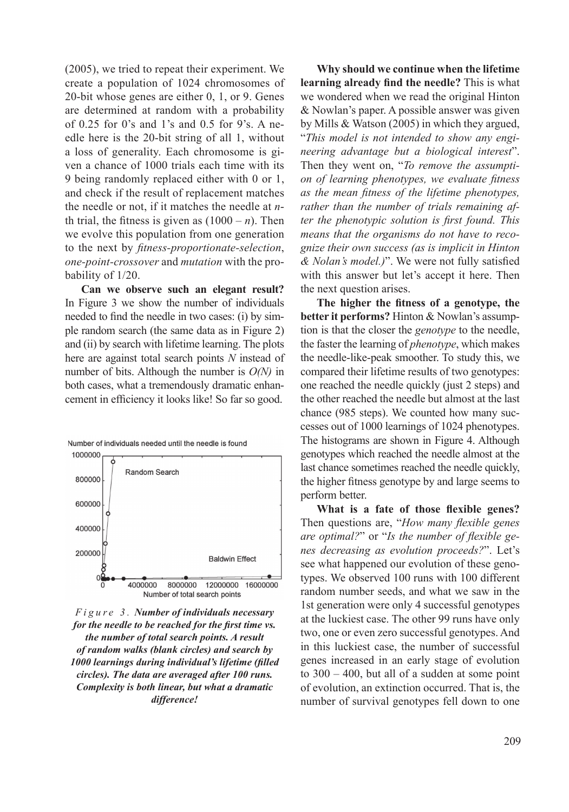(2005), we tried to repeat their experiment. We create a population of 1024 chromosomes of 20-bit whose genes are either 0, 1, or 9. Genes are determined at random with a probability of 0.25 for 0's and 1's and 0.5 for 9's. A needle here is the 20-bit string of all 1, without a loss of generality. Each chromosome is given a chance of 1000 trials each time with its 9 being randomly replaced either with 0 or 1, and check if the result of replacement matches the needle or not, if it matches the needle at *n*th trial, the fitness is given as  $(1000 - n)$ . Then we evolve this population from one generation to the next by *fitness-proportionate-selection*, *one-point-crossover* and *mutation* with the probability of 1/20.

**Can we observe such an elegant result?** In Figure 3 we show the number of individuals needed to find the needle in two cases: (i) by simple random search (the same data as in Figure 2) and (ii) by search with lifetime learning. The plots here are against total search points *N* instead of number of bits. Although the number is *O(N)* in both cases, what a tremendously dramatic enhancement in efficiency it looks like! So far so good.





*F i g u r e 3 . Number of individuals necessary for the needle to be reached for the first time vs. the number of total search points. A result of random walks (blank circles) and search by 1000 learnings during individual's lifetime (filled circles). The data are averaged after 100 runs. Complexity is both linear, but what a dramatic difference!*

**Why should we continue when the lifetime learning already find the needle?** This is what we wondered when we read the original Hinton & Nowlan's paper. A possible answer was given by Mills & Watson (2005) in which they argued, "*This model is not intended to show any engineering advantage but a biological interest*". Then they went on, "*To remove the assumption of learning phenotypes, we evaluate fitness as the mean fitness of the lifetime phenotypes, rather than the number of trials remaining after the phenotypic solution is first found. This means that the organisms do not have to recognize their own success (as is implicit in Hinton & Nolan's model.)*". We were not fully satisfied with this answer but let's accept it here. Then the next question arises.

**The higher the fitness of a genotype, the better it performs?** Hinton & Nowlan's assumption is that the closer the *genotype* to the needle, the faster the learning of *phenotype*, which makes the needle-like-peak smoother. To study this, we compared their lifetime results of two genotypes: one reached the needle quickly (just 2 steps) and the other reached the needle but almost at the last chance (985 steps). We counted how many successes out of 1000 learnings of 1024 phenotypes. The histograms are shown in Figure 4. Although genotypes which reached the needle almost at the last chance sometimes reached the needle quickly, the higher fitness genotype by and large seems to perform better.

**What is a fate of those flexible genes?** Then questions are, "*How many flexible genes are optimal?*" or "*Is the number of flexible genes decreasing as evolution proceeds?*". Let's see what happened our evolution of these genotypes. We observed 100 runs with 100 different random number seeds, and what we saw in the 1st generation were only 4 successful genotypes at the luckiest case. The other 99 runs have only two, one or even zero successful genotypes. And in this luckiest case, the number of successful genes increased in an early stage of evolution to 300 – 400, but all of a sudden at some point of evolution, an extinction occurred. That is, the number of survival genotypes fell down to one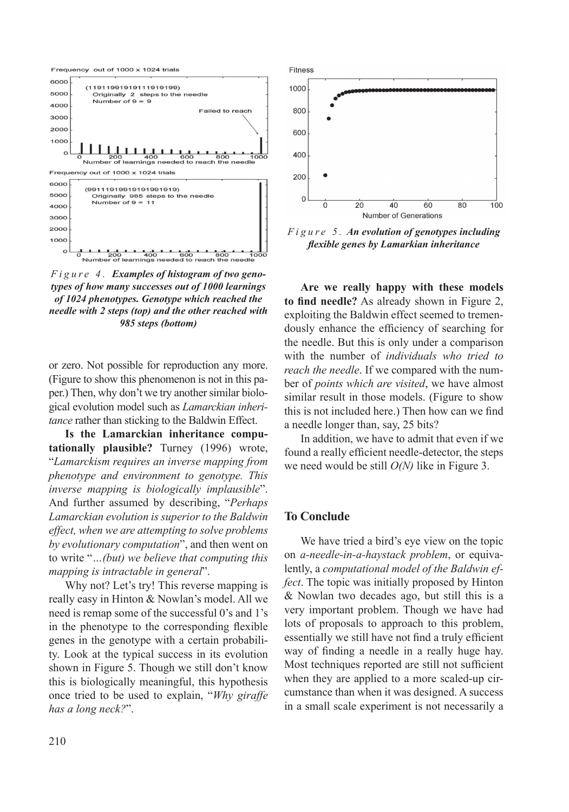

*F i g u r e 4 . Examples of histogram of two genotypes of how many successes out of 1000 learnings of 1024 phenotypes. Genotype which reached the needle with 2 steps (top) and the other reached with 985 steps (bottom)*

or zero. Not possible for reproduction any more. (Figure to show this phenomenon is not in this paper.) Then, why don't we try another similar biological evolution model such as *Lamarckian inheritance* rather than sticking to the Baldwin Effect.

**Is the Lamarckian inheritance computationally plausible?** Turney (1996) wrote, "*Lamarckism requires an inverse mapping from phenotype and environment to genotype. This inverse mapping is biologically implausible*". And further assumed by describing, "*Perhaps Lamarckian evolution is superior to the Baldwin effect, when we are attempting to solve problems by evolutionary computation*", and then went on to write "*…(but) we believe that computing this mapping is intractable in general*".

Why not? Let's try! This reverse mapping is really easy in Hinton & Nowlan's model. All we need is remap some of the successful 0's and 1's in the phenotype to the corresponding flexible genes in the genotype with a certain probability. Look at the typical success in its evolution shown in Figure 5. Though we still don't know this is biologically meaningful, this hypothesis once tried to be used to explain, "*Why giraffe has a long neck?*".



*F i g u r e 5 . An evolution of genotypes including flexible genes by Lamarkian inheritance*

**Are we really happy with these models to find needle?** As already shown in Figure 2, exploiting the Baldwin effect seemed to tremendously enhance the efficiency of searching for the needle. But this is only under a comparison with the number of *individuals who tried to reach the needle*. If we compared with the number of *points which are visited*, we have almost similar result in those models. (Figure to show this is not included here.) Then how can we find a needle longer than, say, 25 bits?

In addition, we have to admit that even if we found a really efficient needle-detector, the steps we need would be still *O(N)* like in Figure 3.

### **To Conclude**

We have tried a bird's eye view on the topic on *a-needle-in-a-haystack problem*, or equivalently, a *computational model of the Baldwin effect*. The topic was initially proposed by Hinton & Nowlan two decades ago, but still this is a very important problem. Though we have had lots of proposals to approach to this problem, essentially we still have not find a truly efficient way of finding a needle in a really huge hay. Most techniques reported are still not sufficient when they are applied to a more scaled-up circumstance than when it was designed. A success in a small scale experiment is not necessarily a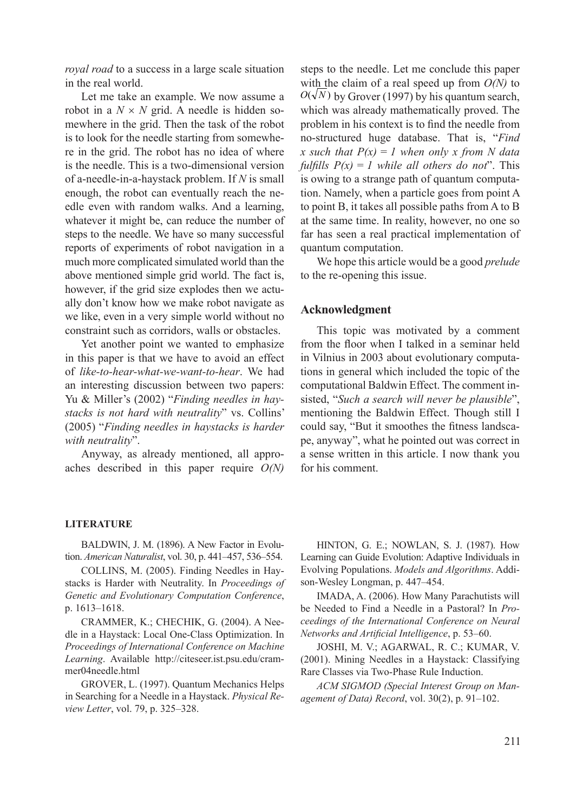*royal road* to a success in a large scale situation in the real world.

Let me take an example. We now assume a robot in a  $N \times N$  grid. A needle is hidden somewhere in the grid. Then the task of the robot is to look for the needle starting from somewhere in the grid. The robot has no idea of where is the needle. This is a two-dimensional version of a-needle-in-a-haystack problem. If *N* is small enough, the robot can eventually reach the needle even with random walks. And a learning, whatever it might be, can reduce the number of steps to the needle. We have so many successful reports of experiments of robot navigation in a much more complicated simulated world than the above mentioned simple grid world. The fact is, however, if the grid size explodes then we actually don't know how we make robot navigate as we like, even in a very simple world without no constraint such as corridors, walls or obstacles.

Yet another point we wanted to emphasize in this paper is that we have to avoid an effect of *like-to-hear-what-we-want-to-hear*. We had an interesting discussion between two papers: Yu & Miller's (2002) "*Finding needles in haystacks is not hard with neutrality*" vs. Collins' (2005) "*Finding needles in haystacks is harder with neutrality*".

Anyway, as already mentioned, all approaches described in this paper require *O(N)*

steps to the needle. Let me conclude this paper with the claim of a real speed up from *O(N)* to  $O(\sqrt{N})$  by Grover (1997) by his quantum search, which was already mathematically proved. The problem in his context is to find the needle from no-structured huge database. That is, "*Find x* such that  $P(x) = 1$  when only x from N data *fulfills*  $P(x) = 1$  *while all others do not*". This is owing to a strange path of quantum computation. Namely, when a particle goes from point A to point B, it takes all possible paths from A to B at the same time. In reality, however, no one so far has seen a real practical implementation of quantum computation.

We hope this article would be a good *prelude* to the re-opening this issue.

### **Acknowledgment**

This topic was motivated by a comment from the floor when I talked in a seminar held in Vilnius in 2003 about evolutionary computations in general which included the topic of the computational Baldwin Effect. The comment insisted, "*Such a search will never be plausible*", mentioning the Baldwin Effect. Though still I could say, "But it smoothes the fitness landscape, anyway", what he pointed out was correct in a sense written in this article. I now thank you for his comment.

#### **LITERATURE**

BALDWIN, J. M. (1896). A New Factor in Evolution. *American Naturalist*, vol. 30, p. 441–457, 536–554.

COLLINS, M. (2005). Finding Needles in Haystacks is Harder with Neutrality. In *Proceedings of Genetic and Evolutionary Computation Conference*, p. 1613–1618.

CRAMMER, K.; CHECHIK, G. (2004). A Needle in a Haystack: Local One-Class Optimization. In *Proceedings of International Conference on Machine Learning*. Available http://citeseer.ist.psu.edu/crammer04needle.html

GROVER, L. (1997). Quantum Mechanics Helps in Searching for a Needle in a Haystack. *Physical Review Letter*, vol. 79, p. 325–328.

HINTON, G. E.; NOWLAN, S. J. (1987). How Learning can Guide Evolution: Adaptive Individuals in Evolving Populations. *Models and Algorithms*. Addison-Wesley Longman, p. 447–454.

IMADA, A. (2006). How Many Parachutists will be Needed to Find a Needle in a Pastoral? In *Proceedings of the International Conference on Neural Networks and Artificial Intelligence*, p. 53–60.

JOSHI, M. V.; AGARWAL, R. C.; KUMAR, V. (2001). Mining Needles in a Haystack: Classifying Rare Classes via Two-Phase Rule Induction.

*ACM SIGMOD (Special Interest Group on Management of Data) Record*, vol. 30(2), p. 91–102.